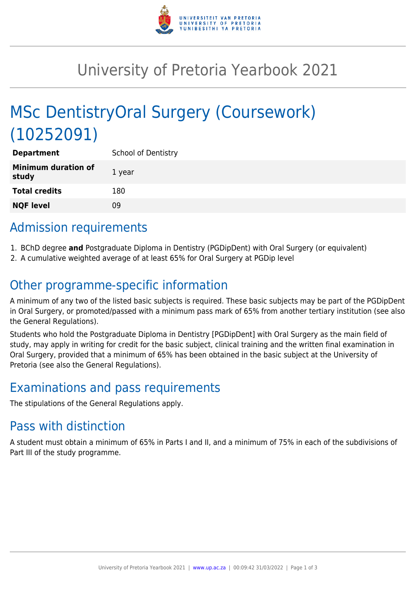

# University of Pretoria Yearbook 2021

# MSc DentistryOral Surgery (Coursework) (10252091)

| <b>Department</b>                   | <b>School of Dentistry</b> |
|-------------------------------------|----------------------------|
| <b>Minimum duration of</b><br>study | 1 year                     |
| <b>Total credits</b>                | 180                        |
| <b>NQF level</b>                    | 09                         |

# Admission requirements

- 1. BChD degree **and** Postgraduate Diploma in Dentistry (PGDipDent) with Oral Surgery (or equivalent)
- 2. A cumulative weighted average of at least 65% for Oral Surgery at PGDip level

# Other programme-specific information

A minimum of any two of the listed basic subjects is required. These basic subjects may be part of the PGDipDent in Oral Surgery, or promoted/passed with a minimum pass mark of 65% from another tertiary institution (see also the General Regulations).

Students who hold the Postgraduate Diploma in Dentistry [PGDipDent] with Oral Surgery as the main field of study, may apply in writing for credit for the basic subject, clinical training and the written final examination in Oral Surgery, provided that a minimum of 65% has been obtained in the basic subject at the University of Pretoria (see also the General Regulations).

# Examinations and pass requirements

The stipulations of the General Regulations apply.

## Pass with distinction

A student must obtain a minimum of 65% in Parts I and II, and a minimum of 75% in each of the subdivisions of Part III of the study programme.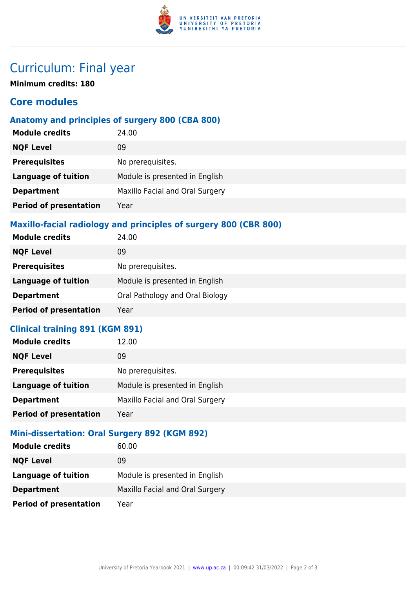

## Curriculum: Final year

**Minimum credits: 180**

### **Core modules**

### **Anatomy and principles of surgery 800 (CBA 800)**

| <b>Module credits</b>         | 24.00                           |
|-------------------------------|---------------------------------|
| <b>NQF Level</b>              | 09                              |
| <b>Prerequisites</b>          | No prerequisites.               |
| <b>Language of tuition</b>    | Module is presented in English  |
| <b>Department</b>             | Maxillo Facial and Oral Surgery |
| <b>Period of presentation</b> | Year                            |
|                               |                                 |

### **Maxillo-facial radiology and principles of surgery 800 (CBR 800)**

| <b>Module credits</b>         | 24.00                           |
|-------------------------------|---------------------------------|
| <b>NQF Level</b>              | 09                              |
| <b>Prerequisites</b>          | No prerequisites.               |
| <b>Language of tuition</b>    | Module is presented in English  |
| <b>Department</b>             | Oral Pathology and Oral Biology |
| <b>Period of presentation</b> | Year                            |

### **Clinical training 891 (KGM 891)**

| <b>Module credits</b>         | 12.00                           |
|-------------------------------|---------------------------------|
| <b>NQF Level</b>              | 09                              |
| <b>Prerequisites</b>          | No prerequisites.               |
| <b>Language of tuition</b>    | Module is presented in English  |
| <b>Department</b>             | Maxillo Facial and Oral Surgery |
| <b>Period of presentation</b> | Year                            |

### **Mini-dissertation: Oral Surgery 892 (KGM 892)**

| <b>Module credits</b>         | 60.00                           |
|-------------------------------|---------------------------------|
| <b>NQF Level</b>              | 09                              |
| Language of tuition           | Module is presented in English  |
| <b>Department</b>             | Maxillo Facial and Oral Surgery |
| <b>Period of presentation</b> | Year                            |